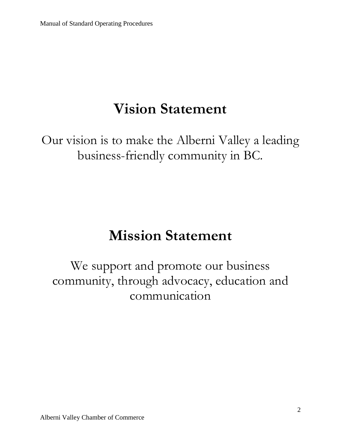# **Vision Statement**

Our vision is to make the Alberni Valley a leading business-friendly community in BC.

# **Mission Statement**

We support and promote our business community, through advocacy, education and communication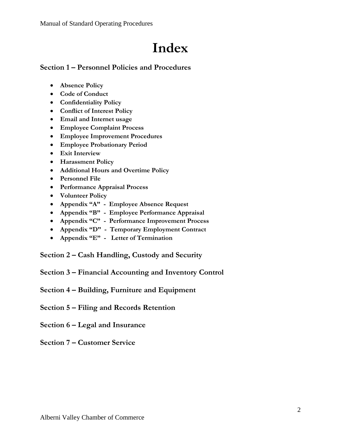# **Index**

### **Section 1 – Personnel Policies and Procedures**

- **Absence Policy**
- **Code of Conduct**
- **Confidentiality Policy**
- **Conflict of Interest Policy**
- **Email and Internet usage**
- **Employee Complaint Process**
- **Employee Improvement Procedures**
- **Employee Probationary Period**
- **Exit Interview**
- **Harassment Policy**
- **Additional Hours and Overtime Policy**
- **Personnel File**
- **Performance Appraisal Process**
- **Volunteer Policy**
- **Appendix "A" Employee Absence Request**
- **Appendix "B" Employee Performance Appraisal**
- **Appendix "C" Performance Improvement Process**
- **Appendix "D" Temporary Employment Contract**
- **Appendix "E" Letter of Termination**

**Section 2 – Cash Handling, Custody and Security**

- **Section 3 – Financial Accounting and Inventory Control**
- **Section 4 – Building, Furniture and Equipment**
- **Section 5 – Filing and Records Retention**
- **Section 6 – Legal and Insurance**
- **Section 7 – Customer Service**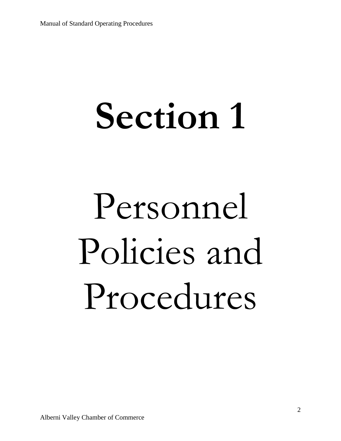# **Section 1**

# Personnel Policies and Procedures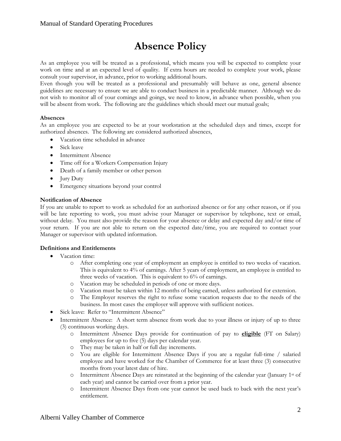## **Absence Policy**

As an employee you will be treated as a professional, which means you will be expected to complete your work on time and at an expected level of quality. If extra hours are needed to complete your work, please consult your supervisor, in advance, prior to working additional hours.

Even though you will be treated as a professional and presumably will behave as one, general absence guidelines are necessary to ensure we are able to conduct business in a predictable manner. Although we do not wish to monitor all of your comings and goings, we need to know, in advance when possible, when you will be absent from work. The following are the guidelines which should meet our mutual goals;

### **Absences**

As an employee you are expected to be at your workstation at the scheduled days and times, except for authorized absences. The following are considered authorized absences,

- Vacation time scheduled in advance
- Sick leave
- Intermittent Absence
- Time off for a Workers Compensation Injury
- Death of a family member or other person
- $\bullet$  Jury Duty
- Emergency situations beyond your control

#### **Notification of Absence**

If you are unable to report to work as scheduled for an authorized absence or for any other reason, or if you will be late reporting to work, you must advise your Manager or supervisor by telephone, text or email, without delay. You must also provide the reason for your absence or delay and expected day and/or time of your return. If you are not able to return on the expected date/time, you are required to contact your Manager or supervisor with updated information.

#### **Definitions and Entitlements**

- Vacation time:
	- o After completing one year of employment an employee is entitled to two weeks of vacation. This is equivalent to 4% of earnings. After 5 years of employment, an employee is entitled to three weeks of vacation. This is equivalent to 6% of earnings.
	- o Vacation may be scheduled in periods of one or more days.
	- Vacation must be taken within 12 months of being earned, unless authorized for extension.
	- o The Employer reserves the right to refuse some vacation requests due to the needs of the business. In most cases the employer will approve with sufficient notices.
- Sick leave: Refer to "Intermittent Absence"
- Intermittent Absence: A short term absence from work due to your illness or injury of up to three (3) continuous working days.
	- o Intermittent Absence Days provide for continuation of pay to **eligible** (FT on Salary) employees for up to five (5) days per calendar year.
	- o They may be taken in half or full day increments.
	- o You are eligible for Intermittent Absence Days if you are a regular full-time / salaried employee and have worked for the Chamber of Commerce for at least three (3) consecutive months from your latest date of hire.
	- $\circ$  Intermittent Absence Days are reinstated at the beginning of the calendar year (January 1<sup>st</sup> of each year) and cannot be carried over from a prior year.
	- o Intermittent Absence Days from one year cannot be used back to back with the next year's entitlement.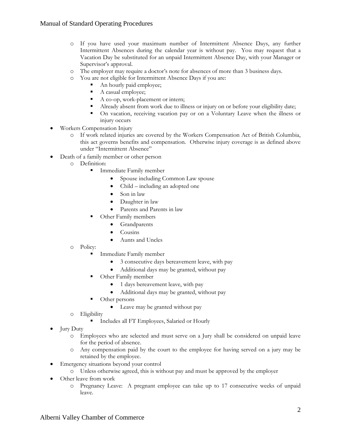- o If you have used your maximum number of Intermittent Absence Days, any further Intermittent Absences during the calendar year is without pay. You may request that a Vacation Day be substituted for an unpaid Intermittent Absence Day, with your Manager or Supervisor's approval.
- o The employer may require a doctor's note for absences of more than 3 business days.
- o You are not eligible for Intermittent Absence Days if you are:
	- An hourly paid employee;
	- A casual employee;
	- A co-op, work-placement or intern;
	- Already absent from work due to illness or injury on or before your eligibility date;
	- On vacation, receiving vacation pay or on a Voluntary Leave when the illness or injury occurs
- Workers Compensation Injury
	- o If work related injuries are covered by the Workers Compensation Act of British Columbia, this act governs benefits and compensation. Otherwise injury coverage is as defined above under "Intermittent Absence"
- Death of a family member or other person
	- o Definition:
		- Immediate Family member
			- Spouse including Common Law spouse
			- Child including an adopted one
			- Son in law
			- Daughter in law
			- Parents and Parents in law
		- Other Family members
			- Grandparents
			- Cousins
			- Aunts and Uncles
	- o Policy:
		- Immediate Family member
			- 3 consecutive days bereavement leave, with pay
			- Additional days may be granted, without pay
		- Other Family member
			- 1 days bereavement leave, with pay
			- Additional days may be granted, without pay
		- Other persons
			- Leave may be granted without pay
	- o Eligibility
		- Includes all FT Employees, Salaried or Hourly
- Jury Duty
	- o Employees who are selected and must serve on a Jury shall be considered on unpaid leave for the period of absence.
	- o Any compensation paid by the court to the employee for having served on a jury may be retained by the employee.
- Emergency situations beyond your control
	- o Unless otherwise agreed, this is without pay and must be approved by the employer
- Other leave from work
	- o Pregnancy Leave: A pregnant employee can take up to 17 consecutive weeks of unpaid leave.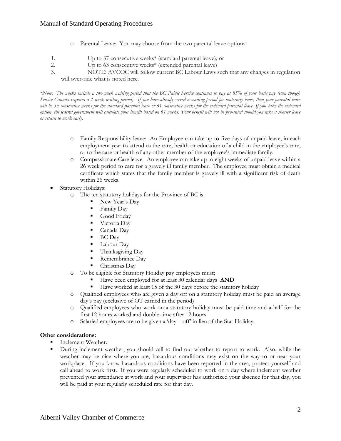### Manual of Standard Operating Procedures

- o Parental Leave: You may choose from the two parental leave options:
- 1. Up to 37 consecutive weeks\* (standard parental leave); or
- 2. Up to 63 consecutive weeks\* (extended parental leave)
- 3. NOTE: AVCOC will follow current BC Labour Laws such that any changes in regulation will over-ride what is noted here.

*\*Note: The weeks include a two week waiting period that the BC Public Service continues to pay at 85% of your basic pay (even though Service Canada requires a 1 week waiting period). If you have already served a waiting period for maternity leave, then your parental leave*  will be 35 consecutive weeks for the standard parental leave or 61 consecutive weeks for the extended parental leave. If you take the extended *option, the federal government will calculate your benefit based on 61 weeks. Your benefit will not be pro-rated should you take a shorter leave or return to work early.*

- o Family Responsibility leave: An Employee can take up to five days of unpaid leave, in each employment year to attend to the care, health or education of a child in the employee's care, or to the care or health of any other member of the employee's immediate family.
- o Compassionate Care leave: An employee can take up to eight weeks of unpaid leave within a 26 week period to care for a gravely ill family member. The employee must obtain a medical certificate which states that the family member is gravely ill with a significant risk of death within 26 weeks.
- Statutory Holidays:
	- o The ten statutory holidays for the Province of BC is
		- New Year's Day
		- Family Day
		- Good Friday
		- **Victoria Day**
		- Canada Day
		- BC Day
		- **Labour Day**
		- $\blacksquare$  Thanksgiving Day
		- Remembrance Day
		- Christmas Day
	- o To be eligible for Statutory Holiday pay employees must;
		- Have been employed for at least 30 calendar days **AND**
		- Have worked at least 15 of the 30 days before the statutory holiday
	- o Qualified employees who are given a day off on a statutory holiday must be paid an average day's pay (exclusive of OT earned in the period)
	- o Qualified employees who work on a statutory holiday must be paid time-and-a-half for the first 12 hours worked and double-time after 12 hours
	- o Salaried employees are to be given a 'day off' in lieu of the Stat Holiday.

#### **Other considerations:**

- Inclement Weather:
- During inclement weather, you should call to find out whether to report to work. Also, while the weather may be nice where you are, hazardous conditions may exist on the way to or near your workplace. If you know hazardous conditions have been reported in the area, protect yourself and call ahead to work first. If you were regularly scheduled to work on a day where inclement weather prevented your attendance at work and your supervisor has authorized your absence for that day, you will be paid at your regularly scheduled rate for that day.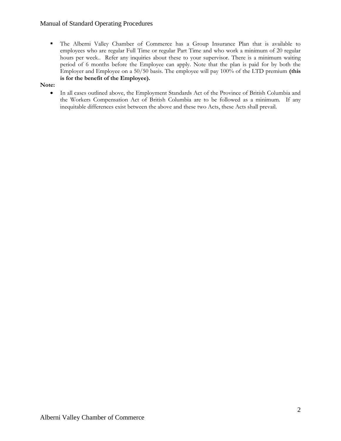### Manual of Standard Operating Procedures

 The Alberni Valley Chamber of Commerce has a Group Insurance Plan that is available to employees who are regular Full Time or regular Part Time and who work a minimum of 20 regular hours per week.. Refer any inquiries about these to your supervisor. There is a minimum waiting period of 6 months before the Employee can apply. Note that the plan is paid for by both the Employer and Employee on a 50/50 basis. The employee will pay 100% of the LTD premium **(this is for the benefit of the Employee).** 

#### **Note:**

 In all cases outlined above, the Employment Standards Act of the Province of British Columbia and the Workers Compensation Act of British Columbia are to be followed as a minimum. If any inequitable differences exist between the above and these two Acts, these Acts shall prevail.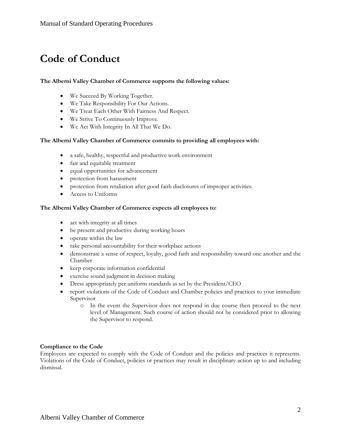## **Code of Conduct**

### **The Alberni Valley Chamber of Commerce supports the following values:**

- We Succeed By Working Together.
- We Take Responsibility For Our Actions.
- We Treat Each Other With Fairness And Respect.
- We Strive To Continuously Improve.
- We Act With Integrity In All That We Do.

#### **The Alberni Valley Chamber of Commerce commits to providing all employees with:**

- a safe, healthy, respectful and productive work environment
- fair and equitable treatment
- equal opportunities for advancement
- protection from harassment
- protection from retaliation after good faith disclosures of improper activities.
- Access to Uniforms

#### **The Alberni Valley Chamber of Commerce expects all employees to:**

- act with integrity at all times
- be present and productive during working hours
- operate within the law
- take personal accountability for their workplace actions
- demonstrate a sense of respect, loyalty, good faith and responsibility toward one another and the Chamber
- keep corporate information confidential
- exercise sound judgment in decision making
- Dress appropriately per uniform standards as set by the President/CEO
- report violations of the Code of Conduct and Chamber policies and practices to your immediate Supervisor
	- o In the event the Supervisor does not respond in due course then proceed to the next level of Management. Such course of action should not be considered prior to allowing the Supervisor to respond.

#### **Compliance to the Code**

Employees are expected to comply with the Code of Conduct and the policies and practices it represents. Violations of the Code of Conduct, policies or practices may result in disciplinary action up to and including dismissal.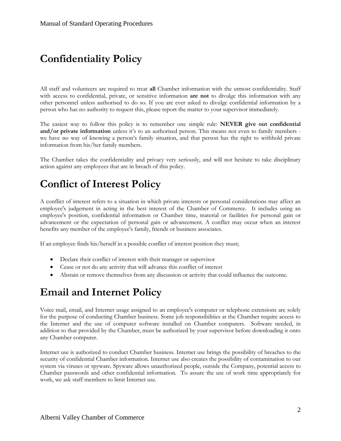## **Confidentiality Policy**

All staff and volunteers are required to treat **all** Chamber information with the utmost confidentiality. Staff with access to confidential, private, or sensitive information **are not** to divulge this information with any other personnel unless authorised to do so. If you are ever asked to divulge confidential information by a person who has no authority to request this, please report the matter to your supervisor immediately.

The easiest way to follow this policy is to remember one simple rule: **NEVER give out confidential and/or private information** unless it's to an authorised person. This means not even to family members we have no way of knowing a person's family situation, and that person has the right to withhold private information from his/her family members.

The Chamber takes the confidentiality and privacy very seriously, and will not hesitate to take disciplinary action against any employees that are in breach of this policy.

### **Conflict of Interest Policy**

A conflict of interest refers to a situation in which private interests or personal considerations may affect an employee's judgement in acting in the best interest of the Chamber of Commerce. It includes using an employee's position, confidential information or Chamber time, material or facilities for personal gain or advancement or the expectation of personal gain or advancement. A conflict may occur when an interest benefits any member of the employee's family, friends or business associates.

If an employee finds his/herself in a possible conflict of interest position they must;

- Declare their conflict of interest with their manager or supervisor
- Cease or not do any activity that will advance this conflict of interest
- Abstain or remove themselves from any discussion or activity that could influence the outcome.

### **Email and Internet Policy**

Voice mail, email, and Internet usage assigned to an employee's computer or telephone extensions are solely for the purpose of conducting Chamber business. Some job responsibilities at the Chamber require access to the Internet and the use of computer software installed on Chamber computers. Software needed, in addition to that provided by the Chamber, must be authorized by your supervisor before downloading it onto any Chamber computer.

Internet use is authorized to conduct Chamber business. Internet use brings the possibility of breaches to the security of confidential Chamber information. Internet use also creates the possibility of contamination to our system via viruses or spyware. Spyware allows unauthorized people, outside the Company, potential access to Chamber passwords and other confidential information. To assure the use of work time appropriately for work, we ask staff members to limit Internet use.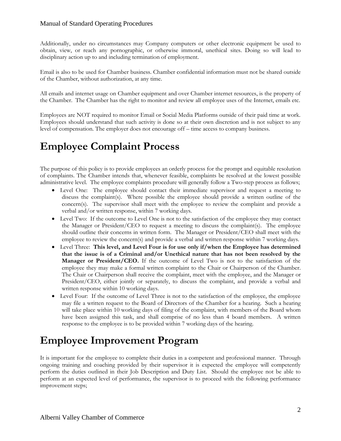### Manual of Standard Operating Procedures

Additionally, under no circumstances may Company computers or other electronic equipment be used to obtain, view, or reach any pornographic, or otherwise immoral, unethical sites. Doing so will lead to disciplinary action up to and including termination of employment.

Email is also to be used for Chamber business. Chamber confidential information must not be shared outside of the Chamber, without authorization, at any time.

All emails and internet usage on Chamber equipment and over Chamber internet resources, is the property of the Chamber. The Chamber has the right to monitor and review all employee uses of the Internet, emails etc.

Employees are NOT required to monitor Email or Social Media Platforms outside of their paid time at work. Employees should understand that such activity is done so at their own discretion and is not subject to any level of compensation. The employer does not encourage off – time access to company business.

## **Employee Complaint Process**

The purpose of this policy is to provide employees an orderly process for the prompt and equitable resolution of complaints. The Chamber intends that, whenever feasible, complaints be resolved at the lowest possible administrative level. The employee complaints procedure will generally follow a Two-step process as follows;

- Level One: The employee should contact their immediate supervisor and request a meeting to discuss the complaint(s). Where possible the employee should provide a written outline of the concern(s). The supervisor shall meet with the employee to review the complaint and provide a verbal and/or written response, within 7 working days.
- Level Two: If the outcome to Level One is not to the satisfaction of the employee they may contact the Manager or President/CEO to request a meeting to discuss the complaint(s). The employee should outline their concerns in written form. The Manager or President/CEO shall meet with the employee to review the concern(s) and provide a verbal and written response within 7 working days.
- Level Three: **This level, and Level Four is for use only if/when the Employee has determined that the issue is of a Criminal and/or Unethical nature that has not been resolved by the Manager or President/CEO.** If the outcome of Level Two is not to the satisfaction of the employee they may make a formal written complaint to the Chair or Chairperson of the Chamber. The Chair or Chairperson shall receive the complaint, meet with the employee, and the Manager or President/CEO, either jointly or separately, to discuss the complaint, and provide a verbal and written response within 10 working days.
- Level Four: If the outcome of Level Three is not to the satisfaction of the employee, the employee may file a written request to the Board of Directors of the Chamber for a hearing. Such a hearing will take place within 10 working days of filing of the complaint, with members of the Board whom have been assigned this task, and shall comprise of no less than 4 board members. A written response to the employee is to be provided within 7 working days of the hearing.

### **Employee Improvement Program**

It is important for the employee to complete their duties in a competent and professional manner. Through ongoing training and coaching provided by their supervisor it is expected the employee will competently perform the duties outlined in their Job Description and Duty List. Should the employee not be able to perform at an expected level of performance, the supervisor is to proceed with the following performance improvement steps;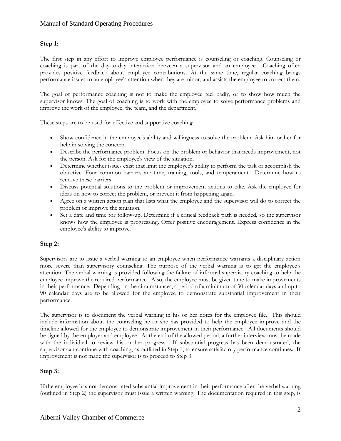### **Step 1:**

The first step in any effort to [improve employee performance](http://humanresources.about.com/od/manageperformance/a/manage_perform.htm) is counseling or coaching. Counseling or coaching is part of the day-to-day interaction between a supervisor and an employee. Coaching often provides positive feedback about employee contributions. At the same time, regular coaching brings performance issues to an employee's attention when they are minor, and assists the employee to correct them.

The goal of performance coaching is not to make the employee feel badly, or to show how much the supervisor knows. The goal of coaching is to work with the employee to solve performance problems and improve the work of the employee, the team, and the department.

These steps are to be used for effective and supportive coaching.

- Show confidence in the employee's ability and willingness to solve the problem. Ask him or her for help in solving the concern.
- Describe the performance problem. Focus on the problem or behavior that needs improvement, not the person. Ask for the employee's view of the situation.
- Determine whether issues exist that limit the employee's ability to perform the task or accomplish the objective. Four common barriers are time, training, tools, and temperament. Determine how to remove these barriers.
- Discuss potential solutions to the problem or improvement actions to take. Ask the employee for ideas on how to correct the problem, or prevent it from happening again.
- Agree on a written action plan that lists what the employee and the supervisor will do to correct the problem or improve the situation.
- Set a date and time for follow-up. Determine if a critical feedback path is needed, so the supervisor knows how the employee is progressing. Offer positive encouragement. Express confidence in the employee's ability to improve.

### **Step 2:**

Supervisors are to issue a verbal warning to an employee when performance warrants a disciplinary action more severe than supervisory counseling. The purpose of the verbal warning is to get the employee's attention. The verbal warning is provided following the failure of informal supervisory [coaching](http://humanresources.about.com/od/glossaryc/g/coaching.htm) to help the employee improve the required performance. Also, the employee must be given time to make improvements in their performance. Depending on the circumstances, a period of a minimum of 30 calendar days and up to 90 calendar days are to be allowed for the employee to demonstrate substantial improvement in their performance.

The supervisor is to document the verbal warning in his or her notes for the employee file. This should include information about the counseling he or she has provided to help the employee improve and the timeline allowed for the employee to demonstrate improvement in their performance. All documents should be signed by the employer and employee. At the end of the allowed period, a further interview must be made with the individual to review his or her progress. If substantial progress has been demonstrated, the supervisor can continue with coaching, as outlined in Step 1, to ensure satisfactory performance continues. If improvement is not made the supervisor is to proceed to Step 3.

### **Step 3:**

If the employee has not demonstrated substantial improvement in their performance after the verbal warning (outlined in Step 2) the supervisor must issue a written warning. The documentation required in this step, is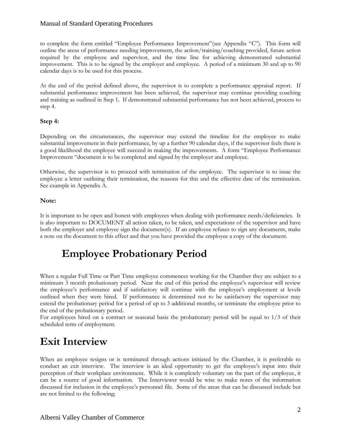### Manual of Standard Operating Procedures

to complete the form entitled "Employee Performance Improvement"(see Appendix "C"). This form will outline the areas of performance needing improvement, the action/training/coaching provided, future action required by the employee and supervisor, and the time line for achieving demonstrated substantial improvement. This is to be signed by the employer and employee. A period of a minimum 30 and up to 90 calendar days is to be used for this process.

At the end of the period defined above, the supervisor is to complete a performance appraisal report. If substantial performance improvement has been achieved, the supervisor may continue providing coaching and training as outlined in Step 1. If demonstrated substantial performance has not been achieved, process to step 4.

### **Step 4:**

Depending on the circumstances, the supervisor may extend the timeline for the employee to make substantial improvement in their performance, by up a further 90 calendar days, if the supervisor feels there is a good likelihood the employee will succeed in making the improvements. A form "Employee Performance Improvement "document is to be completed and signed by the employer and employee.

Otherwise, the supervisor is to proceed with termination of the employee. The supervisor is to issue the employee a letter outlining their termination, the reasons for this and the effective date of the termination. See example in Appendix A.

### **Note:**

It is important to be open and honest with employees when dealing with performance needs/deficiencies. It is also important to DOCUMENT all action taken, to be taken, and expectations of the supervisor and have both the employer and employee sign the document(s). If an employee refuses to sign any documents, make a note on the document to this effect and that you have provided the employee a copy of the document.

### **Employee Probationary Period**

When a regular Full Time or Part Time employee commences working for the Chamber they are subject to a minimum 3 month probationary period. Near the end of this period the employee's supervisor will review the employee's performance and if satisfactory will continue with the employee's employment at levels outlined when they were hired. If performance is determined not to be satisfactory the supervisor may extend the probationary period for a period of up to 3 additional months, or terminate the employee prior to the end of the probationary period.

For employees hired on a contract or seasonal basis the probationary period will be equal to 1/3 of their scheduled term of employment.

### **Exit Interview**

When an employee resigns or is terminated through actions initiated by the Chamber, it is preferable to conduct an exit interview. The interview is an ideal opportunity to get the employee's input into their perception of their workplace environment. While it is completely voluntary on the part of the employee, it can be a source of good information. The Interviewer would be wise to make notes of the information discussed for inclusion in the employee's personnel file. Some of the areas that can be discussed include but are not limited to the following;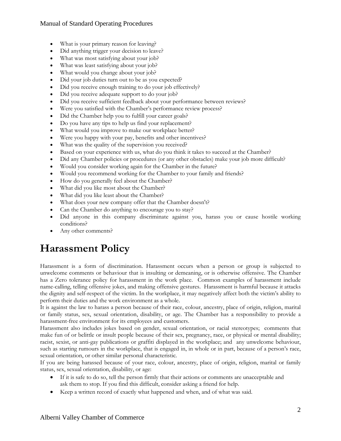### Manual of Standard Operating Procedures

- What is your primary reason for leaving?
- Did anything trigger your decision to leave?
- What was most satisfying about your job?
- What was least satisfying about your job?
- What would you change about your job?
- Did your job duties turn out to be as you expected?
- Did you receive enough training to do your job effectively?
- Did you receive adequate support to do your job?
- Did you receive sufficient feedback about your performance between reviews?
- Were you satisfied with the Chamber's performance review process?
- Did the Chamber help you to fulfill your career goals?
- Do you have any tips to help us find your replacement?
- What would you improve to make our workplace better?
- Were you happy with your pay, benefits and other incentives?
- What was the quality of the supervision you received?
- Based on your experience with us, what do you think it takes to succeed at the Chamber?
- Did any Chamber policies or procedures (or any other obstacles) make your job more difficult?
- Would you consider working again for the Chamber in the future?
- Would you recommend working for the Chamber to your family and friends?
- How do you generally feel about the Chamber?
- What did you like most about the Chamber?
- What did you like least about the Chamber?
- What does your new company offer that the Chamber doesn't?
- Can the Chamber do anything to encourage you to stay?
- Did anyone in this company discriminate against you, harass you or cause hostile working conditions?
- Any other comments?

## **Harassment Policy**

Harassment is a form of discrimination. Harassment occurs when a person or group is subjected to unwelcome comments or behaviour that is insulting or demeaning, or is otherwise offensive. The Chamber has a Zero tolerance policy for harassment in the work place. Common examples of harassment include name-calling, telling offensive jokes, and making offensive gestures. Harassment is harmful because it attacks the dignity and self-respect of the victim. In the workplace, it may negatively affect both the victim's ability to perform their duties and the work environment as a whole.

It is against the law to harass a person because of their race, colour, ancestry, place of origin, religion, marital or family status, sex, sexual orientation, disability, or age. The Chamber has a responsibility to provide a harassment-free environment for its employees and customers.

Harassment also includes jokes based on gender, sexual orientation, or racial stereotypes; comments that make fun of or belittle or insult people because of their sex, pregnancy, race, or physical or mental disability; racist, sexist, or anti-gay publications or graffiti displayed in the workplace; and any unwelcome behaviour, such as starting rumours in the workplace, that is engaged in, in whole or in part, because of a person's race, sexual orientation, or other similar personal characteristic.

If you are being harassed because of your race, colour, ancestry, place of origin, religion, marital or family status, sex, sexual orientation, disability, or age:

- If it is safe to do so, tell the person firmly that their actions or comments are unacceptable and ask them to stop. If you find this difficult, consider asking a friend for help.
- Keep a written record of exactly what happened and when, and of what was said.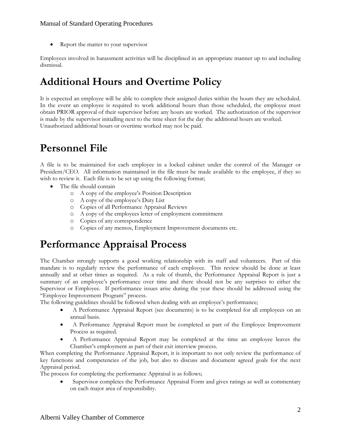• Report the matter to your supervisor

Employees involved in harassment activities will be disciplined in an appropriate manner up to and including dismissal.

### **Additional Hours and Overtime Policy**

It is expected an employee will be able to complete their assigned duties within the hours they are scheduled. In the event an employee is required to work additional hours than those scheduled, the employee must obtain PRIOR approval of their supervisor before any hours are worked. The authorization of the supervisor is made by the supervisor initialling next to the time sheet for the day the additional hours are worked. Unauthorized additional hours or overtime worked may not be paid.

### **Personnel File**

A file is to be maintained for each employee in a locked cabinet under the control of the Manager or President/CEO. All information maintained in the file must be made available to the employee, if they so wish to review it. Each file is to be set up using the following format;

- The file should contain
	- o A copy of the employee's Position Description
	- o A copy of the employee's Duty List
	- o Copies of all Performance Appraisal Reviews
	- o A copy of the employees letter of employment commitment
	- o Copies of any correspondence
	- o Copies of any memos, Employment Improvement documents etc.

### **Performance Appraisal Process**

The Chamber strongly supports a good working relationship with its staff and volunteers. Part of this mandate is to regularly review the performance of each employee. This review should be done at least annually and at other times as required. As a rule of thumb, the Performance Appraisal Report is just a summary of an employee's performance over time and there should not be any surprises to either the Supervisor or Employee. If performance issues arise during the year these should be addressed using the "Employee Improvement Program" process.

The following guidelines should be followed when dealing with an employee's performance;

- A Performance Appraisal Report (see documents) is to be completed for all employees on an annual basis.
- A Performance Appraisal Report must be completed as part of the Employee Improvement Process as required.
- A Performance Appraisal Report may be completed at the time an employee leaves the Chamber's employment as part of their exit interview process.

When completing the Performance Appraisal Report, it is important to not only review the performance of key functions and competencies of the job, but also to discuss and document agreed goals for the next Appraisal period.

The process for completing the performance Appraisal is as follows;

 Supervisor completes the Performance Appraisal Form and gives ratings as well as commentary on each major area of responsibility.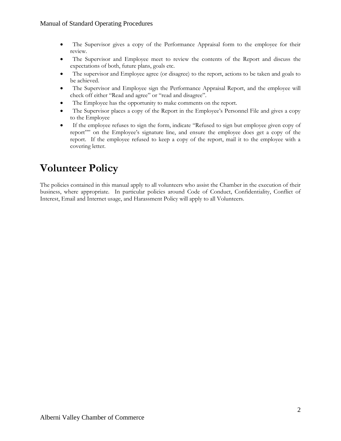- The Supervisor gives a copy of the Performance Appraisal form to the employee for their review.
- The Supervisor and Employee meet to review the contents of the Report and discuss the expectations of both, future plans, goals etc.
- The supervisor and Employee agree (or disagree) to the report, actions to be taken and goals to be achieved.
- The Supervisor and Employee sign the Performance Appraisal Report, and the employee will check off either "Read and agree" or "read and disagree".
- The Employee has the opportunity to make comments on the report.
- The Supervisor places a copy of the Report in the Employee's Personnel File and gives a copy to the Employee
- If the employee refuses to sign the form, indicate "Refused to sign but employee given copy of report"" on the Employee's signature line, and ensure the employee does get a copy of the report. If the employee refused to keep a copy of the report, mail it to the employee with a covering letter.

### **Volunteer Policy**

The policies contained in this manual apply to all volunteers who assist the Chamber in the execution of their business, where appropriate. In particular policies around Code of Conduct, Confidentiality, Conflict of Interest, Email and Internet usage, and Harassment Policy will apply to all Volunteers.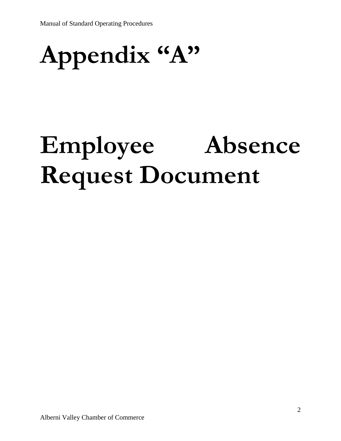# **Appendix "A"**

# **Employee Absence Request Document**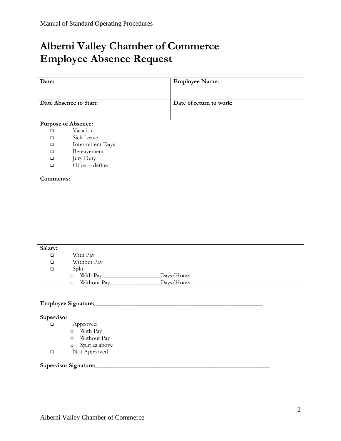# **Alberni Valley Chamber of Commerce Employee Absence Request**

| <b>Employee Name:</b>       |
|-----------------------------|
|                             |
| Date of return to work:     |
|                             |
|                             |
|                             |
|                             |
| <b>Intermittent Days</b>    |
|                             |
|                             |
| Other-define                |
|                             |
|                             |
|                             |
|                             |
| Days/Hours                  |
| .Days/Hours<br>Without Pay_ |
| Bereavement                 |

### **Employee Signature:\_\_\_\_\_\_\_\_\_\_\_\_\_\_\_\_\_\_\_\_\_\_\_\_\_\_\_\_\_\_\_\_\_\_\_\_\_\_\_\_\_\_\_\_\_\_\_\_\_\_\_\_\_\_\_**

### **Supervisor**

- Approved
	- o With Pay
	- o Without Pay
	- o Split as above
- Not Approved

### **Supervisor Signature:\_\_\_\_\_\_\_\_\_\_\_\_\_\_\_\_\_\_\_\_\_\_\_\_\_\_\_\_\_\_\_\_\_\_\_\_\_\_\_\_\_\_\_\_\_\_\_\_\_\_\_\_\_\_\_\_\_**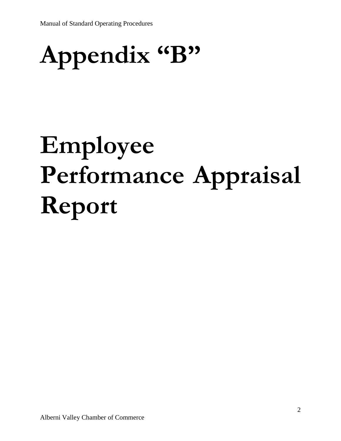# **Appendix "B"**

# **Employee Performance Appraisal Report**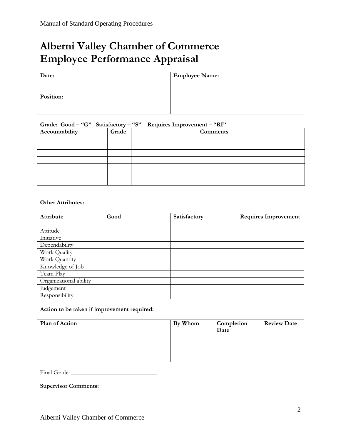# **Alberni Valley Chamber of Commerce Employee Performance Appraisal**

| Date:     | <b>Employee Name:</b> |
|-----------|-----------------------|
|           |                       |
| Position: |                       |
|           |                       |

### **Grade: Good – "G" Satisfactory – "S" Requires Improvement – "RI"**

| Accountability | Grade | Comments |
|----------------|-------|----------|
|                |       |          |
|                |       |          |
|                |       |          |
|                |       |          |
|                |       |          |
|                |       |          |
|                |       |          |

#### **Other Attributes:**

| Attribute              | Good | Satisfactory | <b>Requires Improvement</b> |
|------------------------|------|--------------|-----------------------------|
|                        |      |              |                             |
| Attitude               |      |              |                             |
| Initiative             |      |              |                             |
| Dependability          |      |              |                             |
| Work Quality           |      |              |                             |
| Work Quantity          |      |              |                             |
| Knowledge of Job       |      |              |                             |
| Team Play              |      |              |                             |
| Organizational ability |      |              |                             |
| Judgement              |      |              |                             |
| Responsibility         |      |              |                             |

#### **Action to be taken if improvement required:**

| Plan of Action | By Whom | Completion<br>Date | <b>Review Date</b> |
|----------------|---------|--------------------|--------------------|
|                |         |                    |                    |
|                |         |                    |                    |

Final Grade: \_\_\_\_\_\_\_\_\_\_\_\_\_\_\_\_\_\_\_\_\_\_\_\_\_\_\_\_

**Supervisor Comments:**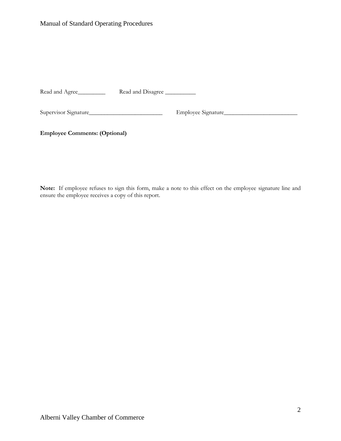Read and Agree\_\_\_\_\_\_\_\_\_\_ Read and Disagree \_\_\_\_\_\_\_\_\_\_

Supervisor Signature\_\_\_\_\_\_\_\_\_\_\_\_\_\_\_\_\_\_\_\_\_\_\_\_ Employee Signature\_\_\_\_\_\_\_\_\_\_\_\_\_\_\_\_\_\_\_\_\_\_\_\_

**Employee Comments: (Optional)**

**Note:** If employee refuses to sign this form, make a note to this effect on the employee signature line and ensure the employee receives a copy of this report.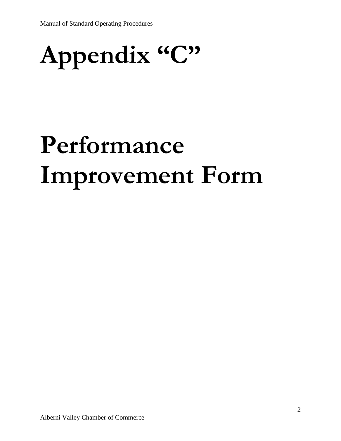# **Appendix "C"**

# **Performance Improvement Form**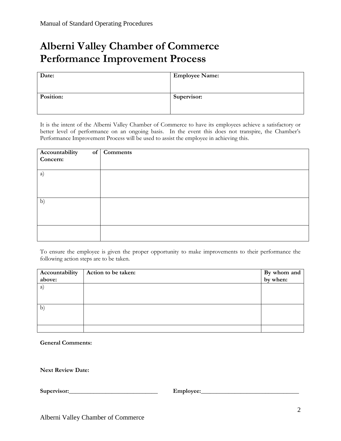# **Alberni Valley Chamber of Commerce Performance Improvement Process**

| Date:     | <b>Employee Name:</b> |
|-----------|-----------------------|
| Position: | Supervisor:           |

It is the intent of the Alberni Valley Chamber of Commerce to have its employees achieve a satisfactory or better level of performance on an ongoing basis. In the event this does not transpire, the Chamber's Performance Improvement Process will be used to assist the employee in achieving this.

| Accountability<br>Concern: | of Comments |
|----------------------------|-------------|
| a)                         |             |
| b)                         |             |
|                            |             |

To ensure the employee is given the proper opportunity to make improvements to their performance the following action steps are to be taken.

| Accountability | Action to be taken: | By whom and |
|----------------|---------------------|-------------|
| above:         |                     | by when:    |
| (a)            |                     |             |
|                |                     |             |
|                |                     |             |
| $\mathbf{b}$   |                     |             |
|                |                     |             |
|                |                     |             |
|                |                     |             |

**General Comments:**

**Next Review Date:**

**Supervisor:\_\_\_\_\_\_\_\_\_\_\_\_\_\_\_\_\_\_\_\_\_\_\_\_\_\_\_\_\_ Employee:\_\_\_\_\_\_\_\_\_\_\_\_\_\_\_\_\_\_\_\_\_\_\_\_\_\_\_\_\_\_\_\_**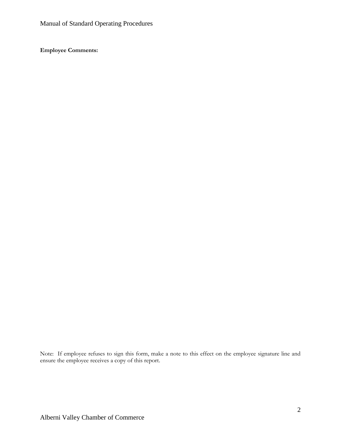**Employee Comments:**

Note: If employee refuses to sign this form, make a note to this effect on the employee signature line and ensure the employee receives a copy of this report.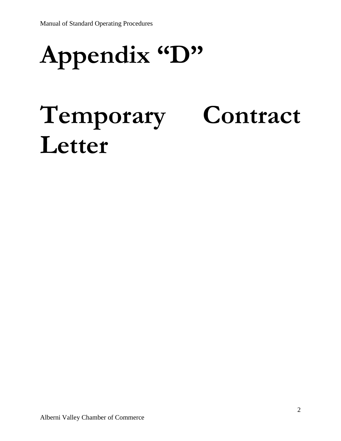# **Appendix "D"**

# **Temporary Contract Letter**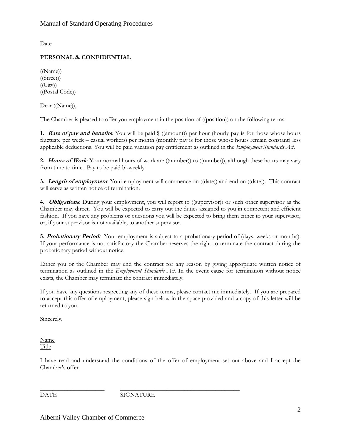Date

### **PERSONAL & CONFIDENTIAL**

((Name)) ((Street))  $((City))$ ((Postal Code))

Dear ((Name)),

The Chamber is pleased to offer you employment in the position of ((position)) on the following terms:

**1. Rate of pay and benefits**: You will be paid  $\frac{1}{2}$  ((amount)) per hour (hourly pay is for those whose hours fluctuate per week – casual workers) per month (monthly pay is for those whose hours remain constant) less applicable deductions. You will be paid vacation pay entitlement as outlined in the *Employment Standards Act*.

**2. Hours of Work**: Your normal hours of work are ((number)) to ((number)), although these hours may vary from time to time. Pay to be paid bi-weekly

**3. Length of employment**: Your employment will commence on ((date)) and end on ((date)). This contract will serve as written notice of termination.

**4. Obligations**: During your employment, you will report to ((supervisor)) or such other supervisor as the Chamber may direct. You will be expected to carry out the duties assigned to you in competent and efficient fashion. If you have any problems or questions you will be expected to bring them either to your supervisor, or, if your supervisor is not available, to another supervisor.

**5. Probationary Period:** Your employment is subject to a probationary period of (days, weeks or months). If your performance is not satisfactory the Chamber reserves the right to terminate the contract during the probationary period without notice.

Either you or the Chamber may end the contract for any reason by giving appropriate written notice of termination as outlined in the *Employment Standards Act*. In the event cause for termination without notice exists, the Chamber may terminate the contract immediately.

If you have any questions respecting any of these terms, please contact me immediately. If you are prepared to accept this offer of employment, please sign below in the space provided and a copy of this letter will be returned to you.

Sincerely,

Name Title

I have read and understand the conditions of the offer of employment set out above and I accept the Chamber's offer.

\_\_\_\_\_\_\_\_\_\_\_\_\_\_\_\_\_\_\_\_\_ \_\_\_\_\_\_\_\_\_\_\_\_\_\_\_\_\_\_\_\_\_\_\_\_\_\_\_\_\_\_\_\_\_\_\_\_\_\_\_ DATE SIGNATURE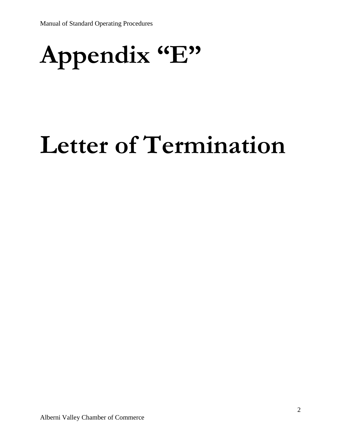# **Appendix "E"**

# **Letter of Termination**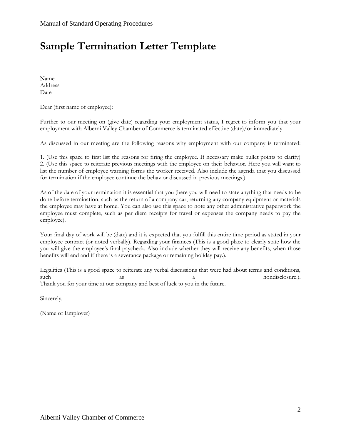# **Sample Termination Letter Template**

Name Address Date

Dear (first name of employee):

Further to our meeting on (give date) regarding your employment status, I regret to inform you that your employment with Alberni Valley Chamber of Commerce is terminated effective (date)/or immediately.

As discussed in our meeting are the following reasons why employment with our company is terminated:

1. (Use this space to first list the reasons for firing the employee. If necessary make bullet points to clarify) 2. (Use this space to reiterate previous meetings with the employee on their behavior. Here you will want to list the number of employee warning forms the worker received. Also include the agenda that you discussed for termination if the employee continue the behavior discussed in previous meetings.)

As of the date of your termination it is essential that you (here you will need to state anything that needs to be done before termination, such as the return of a company car, returning any company equipment or materials the employee may have at home. You can also use this space to note any other administrative paperwork the employee must complete, such as per diem receipts for travel or expenses the company needs to pay the employee).

Your final day of work will be (date) and it is expected that you fulfill this entire time period as stated in your employee contract (or noted verbally). Regarding your finances (This is a good place to clearly state how the you will give the employee's final paycheck. Also include whether they will receive any benefits, when those benefits will end and if there is a severance package or remaining holiday pay.).

Legalities (This is a good space to reiterate any verbal discussions that were had about terms and conditions, such as a nondisclosure.). Thank you for your time at our company and best of luck to you in the future.

Sincerely,

(Name of Employer)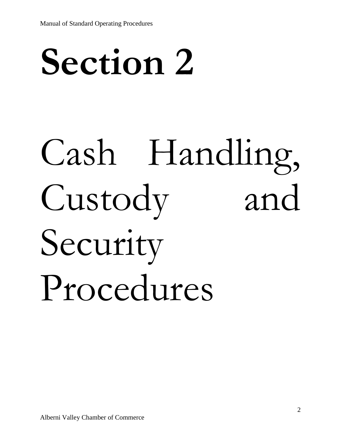# **Section 2**

# Cash Handling, Custody and Security Procedures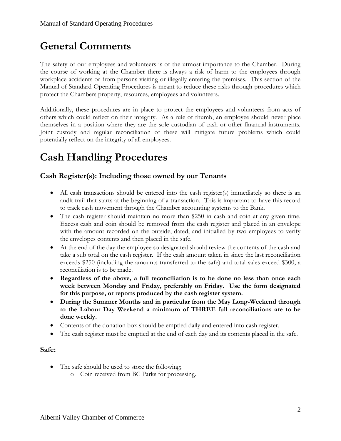# **General Comments**

The safety of our employees and volunteers is of the utmost importance to the Chamber. During the course of working at the Chamber there is always a risk of harm to the employees through workplace accidents or from persons visiting or illegally entering the premises. This section of the Manual of Standard Operating Procedures is meant to reduce these risks through procedures which protect the Chambers property, resources, employees and volunteers.

Additionally, these procedures are in place to protect the employees and volunteers from acts of others which could reflect on their integrity. As a rule of thumb, an employee should never place themselves in a position where they are the sole custodian of cash or other financial instruments. Joint custody and regular reconciliation of these will mitigate future problems which could potentially reflect on the integrity of all employees.

### **Cash Handling Procedures**

### **Cash Register(s): Including those owned by our Tenants**

- All cash transactions should be entered into the cash register(s) immediately so there is an audit trail that starts at the beginning of a transaction. This is important to have this record to track cash movement through the Chamber accounting systems to the Bank.
- The cash register should maintain no more than \$250 in cash and coin at any given time. Excess cash and coin should be removed from the cash register and placed in an envelope with the amount recorded on the outside, dated, and initialled by two employees to verify the envelopes contents and then placed in the safe.
- At the end of the day the employee so designated should review the contents of the cash and take a sub total on the cash register. If the cash amount taken in since the last reconciliation exceeds \$250 (including the amounts transferred to the safe) and total sales exceed \$300, a reconciliation is to be made.
- **Regardless of the above, a full reconciliation is to be done no less than once each week between Monday and Friday, preferably on Friday. Use the form designated for this purpose, or reports produced by the cash register system.**
- **During the Summer Months and in particular from the May Long-Weekend through to the Labour Day Weekend a minimum of THREE full reconciliations are to be done weekly.**
- Contents of the donation box should be emptied daily and entered into cash register.
- The cash register must be emptied at the end of each day and its contents placed in the safe.

### **Safe:**

- The safe should be used to store the following;
	- o Coin received from BC Parks for processing.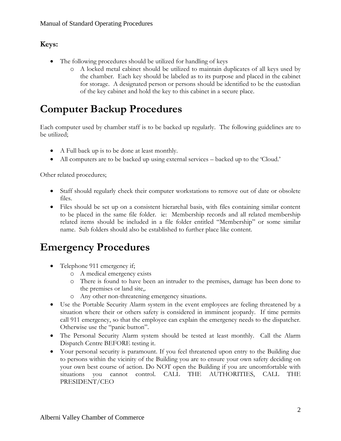### **Keys:**

- The following procedures should be utilized for handling of keys
	- o A locked metal cabinet should be utilized to maintain duplicates of all keys used by the chamber. Each key should be labeled as to its purpose and placed in the cabinet for storage. A designated person or persons should be identified to be the custodian of the key cabinet and hold the key to this cabinet in a secure place.

## **Computer Backup Procedures**

Each computer used by chamber staff is to be backed up regularly. The following guidelines are to be utilized;

- A Full back up is to be done at least monthly.
- All computers are to be backed up using external services backed up to the 'Cloud.'

Other related procedures;

- Staff should regularly check their computer workstations to remove out of date or obsolete files.
- Files should be set up on a consistent hierarchal basis, with files containing similar content to be placed in the same file folder. ie: Membership records and all related membership related items should be included in a file folder entitled "Membership" or some similar name. Sub folders should also be established to further place like content.

### **Emergency Procedures**

- Telephone 911 emergency if;
	- o A medical emergency exists
	- o There is found to have been an intruder to the premises, damage has been done to the premises or land site,.
	- o Any other non-threatening emergency situations.
- Use the Portable Security Alarm system in the event employees are feeling threatened by a situation where their or others safety is considered in imminent jeopardy. If time permits call 911 emergency, so that the employee can explain the emergency needs to the dispatcher. Otherwise use the "panic button".
- The Personal Security Alarm system should be tested at least monthly. Call the Alarm Dispatch Centre BEFORE testing it.
- Your personal security is paramount. If you feel threatened upon entry to the Building due to persons within the vicinity of the Building you are to ensure your own safety deciding on your own best course of action. Do NOT open the Building if you are uncomfortable with situations you cannot control. CALL THE AUTHORITIES, CALL THE PRESIDENT/CEO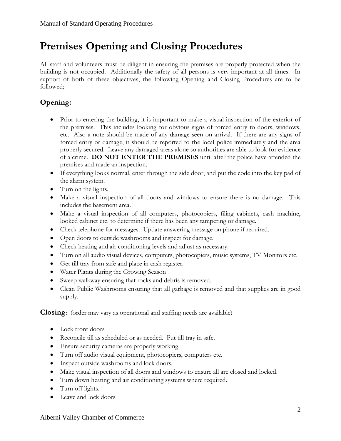# **Premises Opening and Closing Procedures**

All staff and volunteers must be diligent in ensuring the premises are properly protected when the building is not occupied. Additionally the safety of all persons is very important at all times. In support of both of these objectives, the following Opening and Closing Procedures are to be followed;

### **Opening:**

- Prior to entering the building, it is important to make a visual inspection of the exterior of the premises. This includes looking for obvious signs of forced entry to doors, windows, etc. Also a note should be made of any damage seen on arrival. If there are any signs of forced entry or damage, it should be reported to the local police immediately and the area properly secured. Leave any damaged areas alone so authorities are able to look for evidence of a crime. **DO NOT ENTER THE PREMISES** until after the police have attended the premises and made an inspection.
- If everything looks normal, enter through the side door, and put the code into the key pad of the alarm system.
- Turn on the lights.
- Make a visual inspection of all doors and windows to ensure there is no damage. This includes the basement area.
- Make a visual inspection of all computers, photocopiers, filing cabinets, cash machine, looked cabinet etc. to determine if there has been any tampering or damage.
- Check telephone for messages. Update answering message on phone if required.
- Open doors to outside washrooms and inspect for damage.
- Check heating and air conditioning levels and adjust as necessary.
- Turn on all audio visual devices, computers, photocopiers, music systems, TV Monitors etc.
- Get till tray from safe and place in cash register.
- Water Plants during the Growing Season
- Sweep walkway ensuring that rocks and debris is removed.
- Clean Public Washrooms ensuring that all garbage is removed and that supplies are in good supply.

**Closing:** (order may vary as operational and staffing needs are available)

- Lock front doors
- Reconcile till as scheduled or as needed. Put till tray in safe.
- Ensure security cameras are properly working.
- Turn off audio visual equipment, photocopiers, computers etc.
- Inspect outside washrooms and lock doors.
- Make visual inspection of all doors and windows to ensure all are closed and locked.
- Turn down heating and air conditioning systems where required.
- Turn off lights.
- Leave and lock doors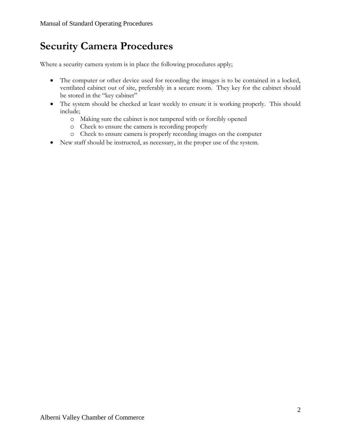# **Security Camera Procedures**

Where a security camera system is in place the following procedures apply;

- The computer or other device used for recording the images is to be contained in a locked, ventilated cabinet out of site, preferably in a secure room. They key for the cabinet should be stored in the "key cabinet"
- The system should be checked at least weekly to ensure it is working properly. This should include;
	- o Making sure the cabinet is not tampered with or forcibly opened
	- o Check to ensure the camera is recording properly
	- o Check to ensure camera is properly recording images on the computer
- New staff should be instructed, as necessary, in the proper use of the system.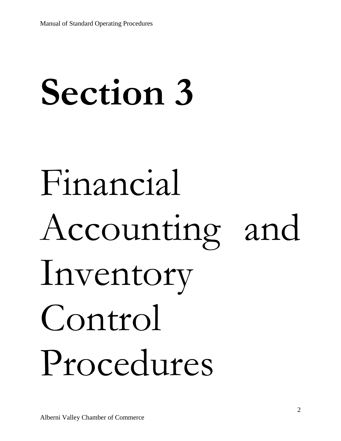# **Section 3**

# Financial Accounting and Inventory Control Procedures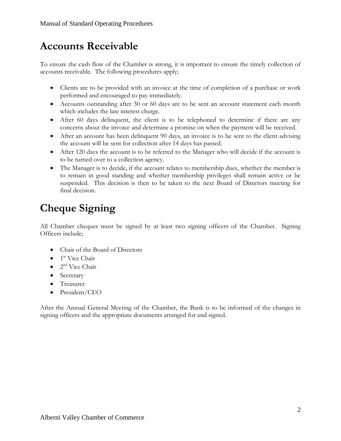## **Accounts Receivable**

To ensure the cash flow of the Chamber is strong, it is important to ensure the timely collection of accounts receivable. The following procedures apply;

- Clients are to be provided with an invoice at the time of completion of a purchase or work performed and encouraged to pay immediately.
- Accounts outstanding after 30 or 60 days are to be sent an account statement each month which includes the late interest charge.
- After 60 days delinquent, the client is to be telephoned to determine if there are any concerns about the invoice and determine a promise on when the payment will be received.
- After an account has been delinquent 90 days, an invoice is to be sent to the client advising the account will be sent for collection after 14 days has passed.
- After 120 days the account is to be referred to the Manager who will decide if the account is to be turned over to a collection agency.
- The Manager is to decide, if the account relates to membership dues, whether the member is to remain in good standing and whether membership privileges shall remain active or be suspended. This decision is then to be taken to the next Board of Directors meeting for final decision.

# **Cheque Signing**

All Chamber cheques must be signed by at least two signing officers of the Chamber. Signing Officers include;

- Chair of the Board of Directors
- $\bullet$  1<sup>st</sup> Vice Chair
- $\bullet$  2<sup>nd</sup> Vice Chair
- Secretary
- Treasurer
- President/CEO

After the Annual General Meeting of the Chamber, the Bank is to be informed of the changes in signing officers and the appropriate documents arranged for and signed.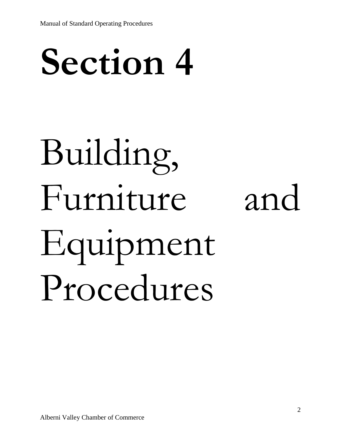# **Section 4**

# Building, Furniture and Equipment Procedures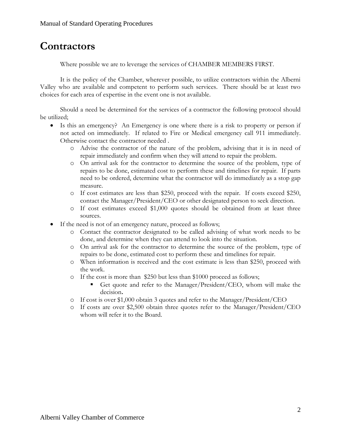### **Contractors**

Where possible we are to leverage the services of CHAMBER MEMBERS FIRST.

It is the policy of the Chamber, wherever possible, to utilize contractors within the Alberni Valley who are available and competent to perform such services. There should be at least two choices for each area of expertise in the event one is not available.

Should a need be determined for the services of a contractor the following protocol should be utilized;

- Is this an emergency? An Emergency is one where there is a risk to property or person if not acted on immediately. If related to Fire or Medical emergency call 911 immediately. Otherwise contact the contractor needed .
	- o Advise the contractor of the nature of the problem, advising that it is in need of repair immediately and confirm when they will attend to repair the problem.
	- o On arrival ask for the contractor to determine the source of the problem, type of repairs to be done, estimated cost to perform these and timelines for repair. If parts need to be ordered, determine what the contractor will do immediately as a stop gap measure.
	- o If cost estimates are less than \$250, proceed with the repair. If costs exceed \$250, contact the Manager/President/CEO or other designated person to seek direction.
	- o If cost estimates exceed \$1,000 quotes should be obtained from at least three sources.
- If the need is not of an emergency nature, proceed as follows;
	- o Contact the contractor designated to be called advising of what work needs to be done, and determine when they can attend to look into the situation.
	- o On arrival ask for the contractor to determine the source of the problem, type of repairs to be done, estimated cost to perform these and timelines for repair.
	- o When information is received and the cost estimate is less than \$250, proceed with the work.
	- o If the cost is more than \$250 but less than \$1000 proceed as follows;
		- Get quote and refer to the Manager/President/CEO, whom will make the decision**.**
	- o If cost is over \$1,000 obtain 3 quotes and refer to the Manager/President/CEO
	- o If costs are over \$2,500 obtain three quotes refer to the Manager/President/CEO whom will refer it to the Board.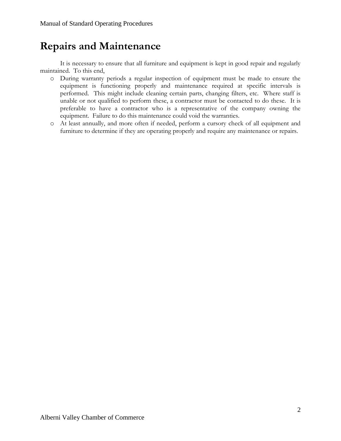## **Repairs and Maintenance**

It is necessary to ensure that all furniture and equipment is kept in good repair and regularly maintained. To this end,

- o During warranty periods a regular inspection of equipment must be made to ensure the equipment is functioning properly and maintenance required at specific intervals is performed. This might include cleaning certain parts, changing filters, etc. Where staff is unable or not qualified to perform these, a contractor must be contacted to do these. It is preferable to have a contractor who is a representative of the company owning the equipment. Failure to do this maintenance could void the warranties.
- o At least annually, and more often if needed, perform a cursory check of all equipment and furniture to determine if they are operating properly and require any maintenance or repairs.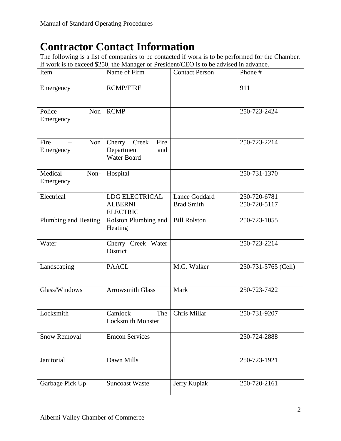# **Contractor Contact Information**

The following is a list of companies to be contacted if work is to be performed for the Chamber. If work is to exceed \$250, the Manager or President/CEO is to be advised in advance.

| Item                                                     | Name of Firm                                                | <b>Contact Person</b>                     | Phone #                      |
|----------------------------------------------------------|-------------------------------------------------------------|-------------------------------------------|------------------------------|
| Emergency                                                | <b>RCMP/FIRE</b>                                            |                                           | 911                          |
| Police<br>Non<br>Emergency                               | <b>RCMP</b>                                                 |                                           | 250-723-2424                 |
| Fire<br>Non<br>Emergency                                 | Fire<br>Creek<br>Cherry<br>Department<br>and<br>Water Board |                                           | 250-723-2214                 |
| Medical<br>Non-<br>$\overline{\phantom{m}}$<br>Emergency | Hospital                                                    |                                           | 250-731-1370                 |
| Electrical                                               | <b>LDG ELECTRICAL</b><br><b>ALBERNI</b><br><b>ELECTRIC</b>  | <b>Lance Goddard</b><br><b>Brad Smith</b> | 250-720-6781<br>250-720-5117 |
| Plumbing and Heating                                     | Rolston Plumbing and<br>Heating                             | <b>Bill Rolston</b>                       | 250-723-1055                 |
| Water                                                    | Cherry Creek Water<br>District                              |                                           | 250-723-2214                 |
| Landscaping                                              | <b>PAACL</b>                                                | M.G. Walker                               | 250-731-5765 (Cell)          |
| Glass/Windows                                            | <b>Arrowsmith Glass</b>                                     | Mark                                      | 250-723-7422                 |
| Locksmith                                                | Camlock<br>The<br>Locksmith Monster                         | Chris Millar                              | 250-731-9207                 |
| <b>Snow Removal</b>                                      | <b>Emcon Services</b>                                       |                                           | 250-724-2888                 |
| Janitorial                                               | Dawn Mills                                                  |                                           | 250-723-1921                 |
| Garbage Pick Up                                          | <b>Suncoast Waste</b>                                       | Jerry Kupiak                              | 250-720-2161                 |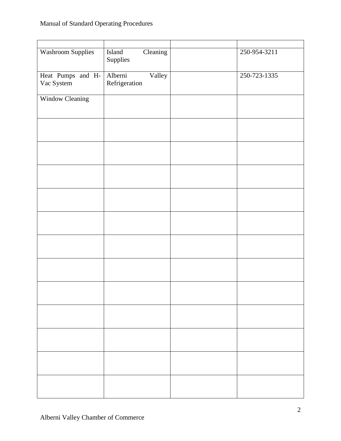| <b>Washroom Supplies</b>        | Cleaning<br>Island<br>Supplies     | 250-954-3211 |
|---------------------------------|------------------------------------|--------------|
| Heat Pumps and H-<br>Vac System | Alberni<br>Valley<br>Refrigeration | 250-723-1335 |
| <b>Window Cleaning</b>          |                                    |              |
|                                 |                                    |              |
|                                 |                                    |              |
|                                 |                                    |              |
|                                 |                                    |              |
|                                 |                                    |              |
|                                 |                                    |              |
|                                 |                                    |              |
|                                 |                                    |              |
|                                 |                                    |              |
|                                 |                                    |              |
|                                 |                                    |              |
|                                 |                                    |              |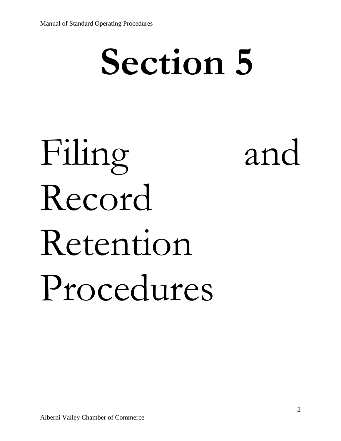# **Section 5**

# Filing and Record Retention Procedures